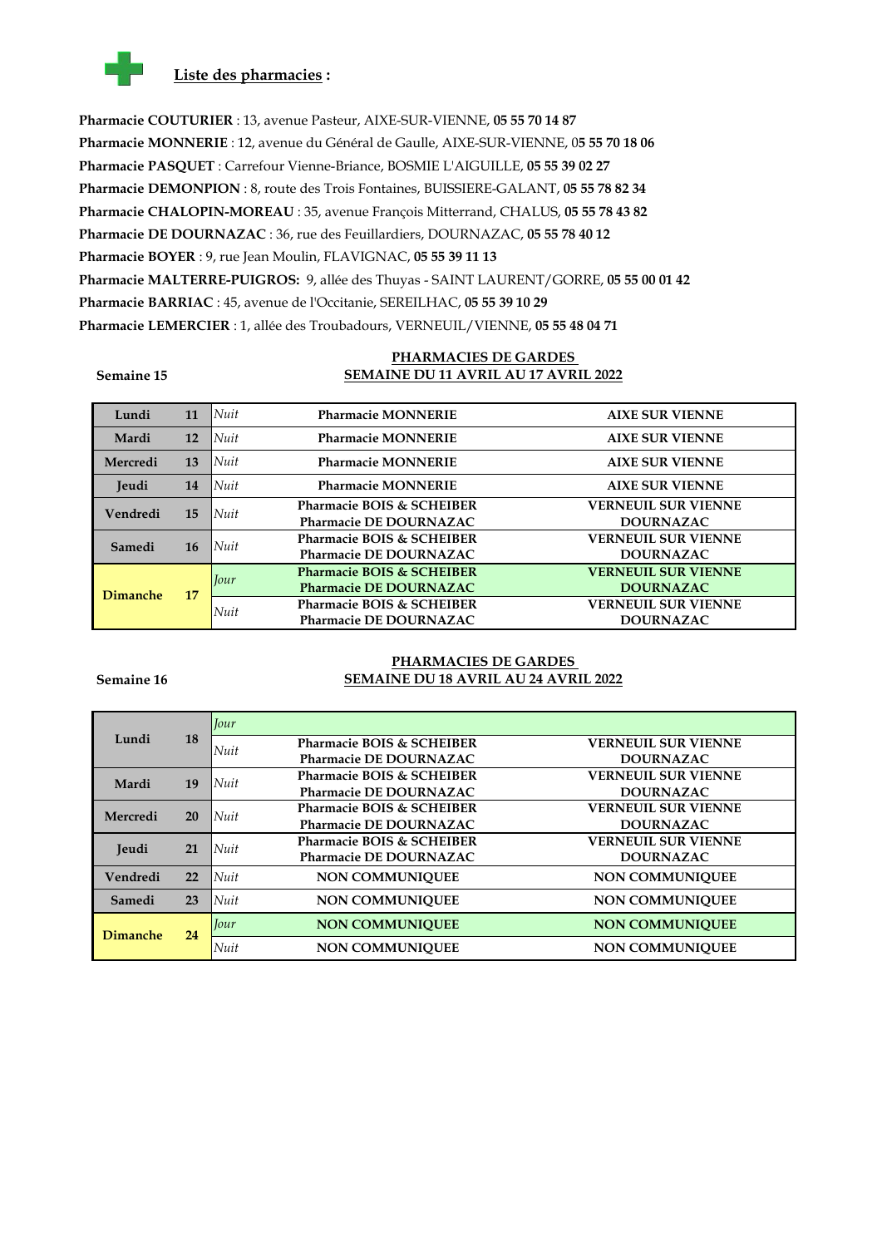

**Pharmacie COUTURIER** : 13, avenue Pasteur, AIXE-SUR-VIENNE, **05 55 70 14 87 Pharmacie MONNERIE** : 12, avenue du Général de Gaulle, AIXE-SUR-VIENNE, 0**5 55 70 18 06 Pharmacie PASQUET** : Carrefour Vienne-Briance, BOSMIE L'AIGUILLE, **05 55 39 02 27 Pharmacie DEMONPION** : 8, route des Trois Fontaines, BUISSIERE-GALANT, **05 55 78 82 34 Pharmacie CHALOPIN-MOREAU** : 35, avenue François Mitterrand, CHALUS, **05 55 78 43 82 Pharmacie DE DOURNAZAC** : 36, rue des Feuillardiers, DOURNAZAC, **05 55 78 40 12 Pharmacie BOYER** : 9, rue Jean Moulin, FLAVIGNAC, **05 55 39 11 13 Pharmacie MALTERRE-PUIGROS:** 9, allée des Thuyas - SAINT LAURENT/GORRE, **05 55 00 01 42 Pharmacie BARRIAC** : 45, avenue de l'Occitanie, SEREILHAC, **05 55 39 10 29 Pharmacie LEMERCIER** : 1, allée des Troubadours, VERNEUIL/VIENNE, **05 55 48 04 71**

**Semaine 15**

## **PHARMACIES DE GARDES SEMAINE DU 11 AVRIL AU 17 AVRIL 2022**

| Lundi           | 11 | Nuit        | <b>Pharmacie MONNERIE</b>            | <b>AIXE SUR VIENNE</b>     |
|-----------------|----|-------------|--------------------------------------|----------------------------|
| Mardi           | 12 | Nuit        | <b>Pharmacie MONNERIE</b>            | <b>AIXE SUR VIENNE</b>     |
| Mercredi        | 13 | Nuit        | <b>Pharmacie MONNERIE</b>            | <b>AIXE SUR VIENNE</b>     |
| Jeudi           | 14 | <b>Nuit</b> | <b>Pharmacie MONNERIE</b>            | <b>AIXE SUR VIENNE</b>     |
|                 |    |             | Pharmacie BOIS & SCHEIBER            | <b>VERNEUIL SUR VIENNE</b> |
| Vendredi        | 15 | Nuit        | <b>Pharmacie DE DOURNAZAC</b>        | <b>DOURNAZAC</b>           |
| Samedi<br>16    |    |             | Pharmacie BOIS & SCHEIBER            | <b>VERNEUIL SUR VIENNE</b> |
|                 |    | Nuit        | <b>Pharmacie DE DOURNAZAC</b>        | <b>DOURNAZAC</b>           |
|                 |    |             | <b>Pharmacie BOIS &amp; SCHEIBER</b> | <b>VERNEUIL SUR VIENNE</b> |
|                 |    | Jour        | <b>Pharmacie DE DOURNAZAC</b>        | <b>DOURNAZAC</b>           |
| <b>Dimanche</b> | 17 |             | Pharmacie BOIS & SCHEIBER            | <b>VERNEUIL SUR VIENNE</b> |
|                 |    | Nuit        | <b>Pharmacie DE DOURNAZAC</b>        | <b>DOURNAZAC</b>           |

#### **Semaine 16**

## **PHARMACIES DE GARDES SEMAINE DU 18 AVRIL AU 24 AVRIL 2022**

|                 |    | <b>Jour</b> |                               |                            |
|-----------------|----|-------------|-------------------------------|----------------------------|
| Lundi           | 18 | Nuit        | Pharmacie BOIS & SCHEIBER     | <b>VERNEUIL SUR VIENNE</b> |
|                 |    |             | <b>Pharmacie DE DOURNAZAC</b> | <b>DOURNAZAC</b>           |
| Mardi           | 19 | Nuit        | Pharmacie BOIS & SCHEIBER     | <b>VERNEUIL SUR VIENNE</b> |
|                 |    |             | Pharmacie DE DOURNAZAC        | <b>DOURNAZAC</b>           |
| Mercredi        | 20 | Nuit        | Pharmacie BOIS & SCHEIBER     | <b>VERNEUIL SUR VIENNE</b> |
|                 |    |             | <b>Pharmacie DE DOURNAZAC</b> | <b>DOURNAZAC</b>           |
| <b>Jeudi</b>    | 21 | Nuit        | Pharmacie BOIS & SCHEIBER     | <b>VERNEUIL SUR VIENNE</b> |
|                 |    |             | Pharmacie DE DOURNAZAC        | <b>DOURNAZAC</b>           |
| Vendredi        | 22 | <b>Nuit</b> | <b>NON COMMUNIOUEE</b>        | <b>NON COMMUNIOUEE</b>     |
| Samedi          | 23 | Nuit        | <b>NON COMMUNIOUEE</b>        | <b>NON COMMUNIOUEE</b>     |
| <b>Dimanche</b> | 24 | <i>Lour</i> | <b>NON COMMUNIOUEE</b>        | <b>NON COMMUNIOUEE</b>     |
|                 |    | Nuit        | <b>NON COMMUNIOUEE</b>        | <b>NON COMMUNIOUEE</b>     |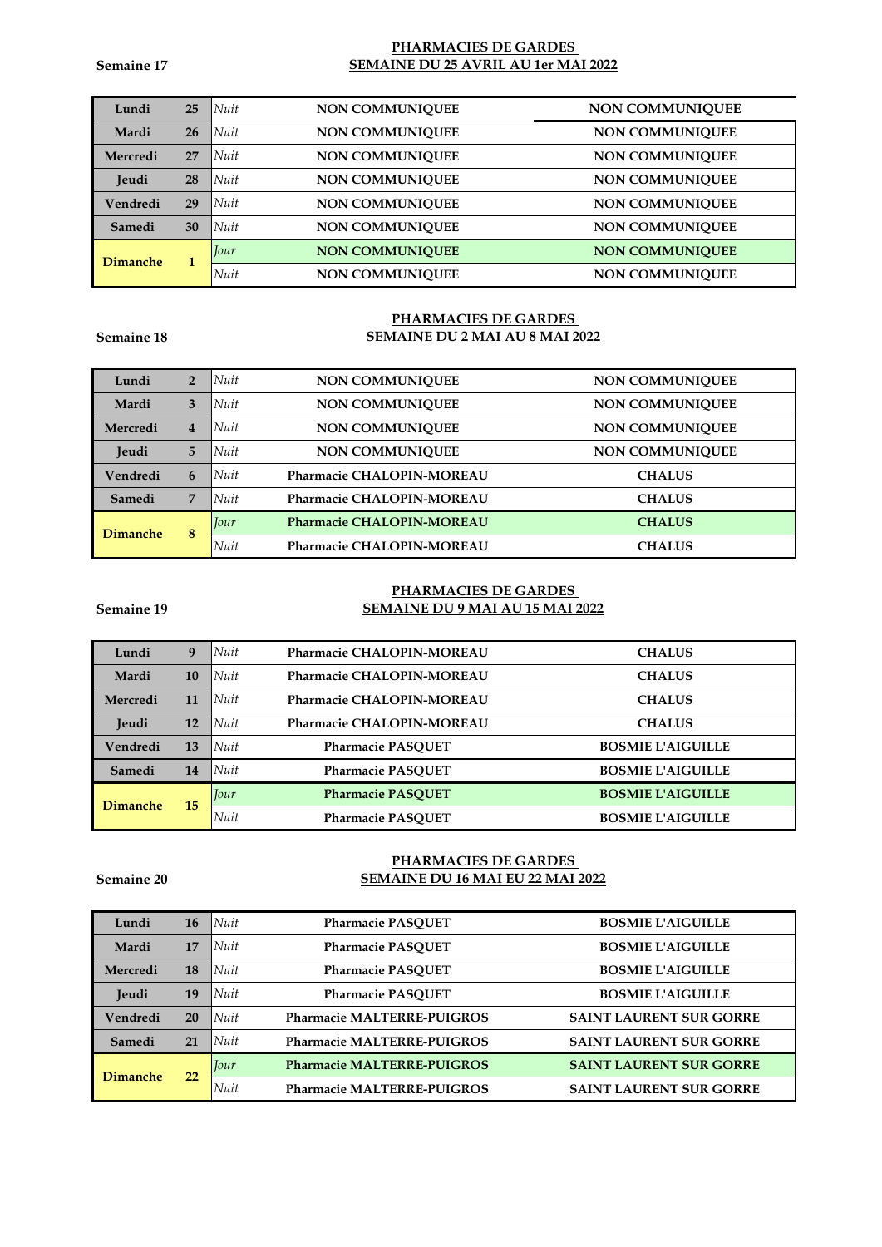**Semaine 17**

## **PHARMACIES DE GARDES SEMAINE DU 25 AVRIL AU 1er MAI 2022**

| Lundi           | 25 | Nuit        | NON COMMUNIQUEE        | <b>NON COMMUNIQUEE</b> |
|-----------------|----|-------------|------------------------|------------------------|
| Mardi           | 26 | Nuit        | <b>NON COMMUNIQUEE</b> | <b>NON COMMUNIOUEE</b> |
| Mercredi        | 27 | Nuit        | <b>NON COMMUNIQUEE</b> | <b>NON COMMUNIQUEE</b> |
| Jeudi           | 28 | Nuit        | <b>NON COMMUNIOUEE</b> | <b>NON COMMUNIOUEE</b> |
| Vendredi        | 29 | <b>Nuit</b> | NON COMMUNIQUEE        | <b>NON COMMUNIOUEE</b> |
| Samedi          | 30 | Nuit        | <b>NON COMMUNIQUEE</b> | <b>NON COMMUNIOUEE</b> |
| <b>Dimanche</b> | 1  | Jour        | <b>NON COMMUNIOUEE</b> | <b>NON COMMUNIOUEE</b> |
|                 |    | Nuit        | NON COMMUNIQUEE        | <b>NON COMMUNIOUEE</b> |

#### **Semaine 18**

# **PHARMACIES DE GARDES SEMAINE DU 2 MAI AU 8 MAI 2022**

| Lundi           | $\overline{2}$ | Nuit        | <b>NON COMMUNIQUEE</b>                     | <b>NON COMMUNIOUEE</b> |
|-----------------|----------------|-------------|--------------------------------------------|------------------------|
| Mardi           | 3              | Nuit        | <b>NON COMMUNIQUEE</b>                     | <b>NON COMMUNIQUEE</b> |
| Mercredi        | 4              | Nuit        | <b>NON COMMUNIQUEE</b>                     | <b>NON COMMUNIOUEE</b> |
| Jeudi           | 5              | Nuit        | <b>NON COMMUNIQUEE</b>                     | <b>NON COMMUNIOUEE</b> |
| Vendredi        | 6              | Nuit        | Pharmacie CHALOPIN-MOREAU                  | <b>CHALUS</b>          |
| Samedi          | 7              | Nuit        | Pharmacie CHALOPIN-MOREAU<br><b>CHALUS</b> |                        |
| <b>Dimanche</b> | 8              | Jour        | <b>Pharmacie CHALOPIN-MOREAU</b>           | <b>CHALUS</b>          |
|                 |                | <b>Nuit</b> | Pharmacie CHALOPIN-MOREAU                  | <b>CHALUS</b>          |

# **PHARMACIES DE GARDES SEMAINE DU 9 MAI AU 15 MAI 2022**

| Lundi        | 9  | <b>Nuit</b> | Pharmacie CHALOPIN-MOREAU                  | <b>CHALUS</b>            |
|--------------|----|-------------|--------------------------------------------|--------------------------|
| Mardi        | 10 | Nuit        | Pharmacie CHALOPIN-MOREAU<br><b>CHALUS</b> |                          |
| Mercredi     | 11 | Nuit        | <b>Pharmacie CHALOPIN-MOREAU</b>           | <b>CHALUS</b>            |
| <b>Jeudi</b> | 12 | <b>Nuit</b> | Pharmacie CHALOPIN-MOREAU                  | <b>CHALUS</b>            |
| Vendredi     | 13 | Nuit        | <b>Pharmacie PASOUET</b>                   | <b>BOSMIE L'AIGUILLE</b> |
| Samedi       | 14 | <b>Nuit</b> | <b>Pharmacie PASOUET</b>                   | <b>BOSMIE L'AIGUILLE</b> |
| Dimanche     | 15 | Jour        | <b>Pharmacie PASOUET</b>                   | <b>BOSMIE L'AIGUILLE</b> |
|              |    | Nuit        | <b>Pharmacie PASOUET</b>                   | <b>BOSMIE L'AIGUILLE</b> |

#### **Semaine 20**

**Semaine 19**

# **PHARMACIES DE GARDES SEMAINE DU 16 MAI EU 22 MAI 2022**

| Lundi           | <b>16</b> | Nuit    | <b>Pharmacie PASOUET</b>          | <b>BOSMIE L'AIGUILLE</b>       |
|-----------------|-----------|---------|-----------------------------------|--------------------------------|
| Mardi           | 17        | Nuit    | <b>Pharmacie PASQUET</b>          | <b>BOSMIE L'AIGUILLE</b>       |
| Mercredi        | 18        | $N$ uit | <b>Pharmacie PASOUET</b>          | <b>BOSMIE L'AIGUILLE</b>       |
| Jeudi           | 19        | Nuit    | <b>Pharmacie PASOUET</b>          | <b>BOSMIE L'AIGUILLE</b>       |
| Vendredi        | 20        | $N$ uit | <b>Pharmacie MALTERRE-PUIGROS</b> | <b>SAINT LAURENT SUR GORRE</b> |
| Samedi          | 21        | Nuit    | <b>Pharmacie MALTERRE-PUIGROS</b> | <b>SAINT LAURENT SUR GORRE</b> |
| <b>Dimanche</b> | 22        | Jour    | <b>Pharmacie MALTERRE-PUIGROS</b> | <b>SAINT LAURENT SUR GORRE</b> |
|                 |           | Nuit    | <b>Pharmacie MALTERRE-PUIGROS</b> | <b>SAINT LAURENT SUR GORRE</b> |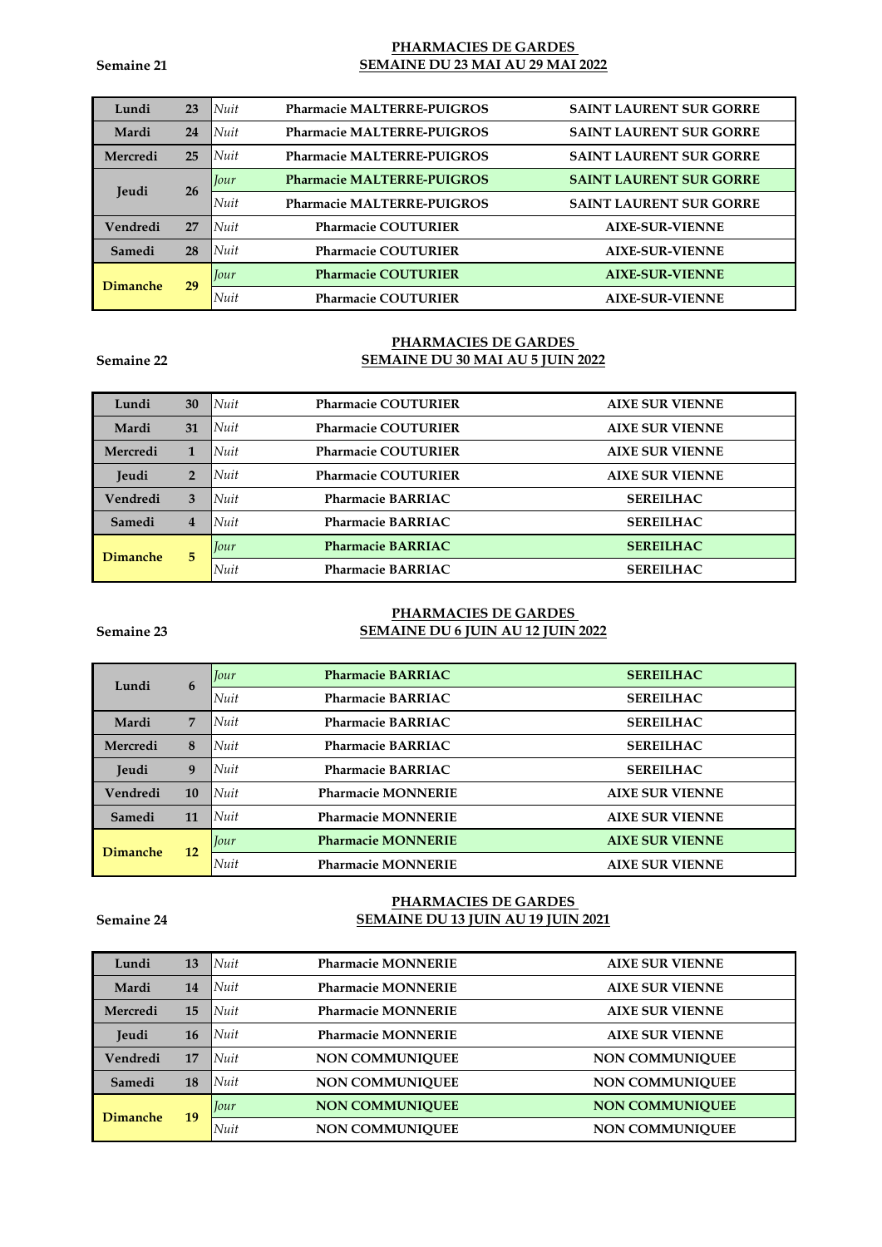## **PHARMACIES DE GARDES SEMAINE DU 23 MAI AU 29 MAI 2022**

| Lundi        | 23 | <b>Pharmacie MALTERRE-PUIGROS</b><br>$\mathsf{N}$ uit | <b>SAINT LAURENT SUR GORRE</b> |
|--------------|----|-------------------------------------------------------|--------------------------------|
| Mardi        | 24 | $\mathsf{N}$ uit<br><b>Pharmacie MALTERRE-PUIGROS</b> | <b>SAINT LAURENT SUR GORRE</b> |
| Mercredi     | 25 | <b>Pharmacie MALTERRE-PUIGROS</b><br>$\mathsf{N}$ uit | <b>SAINT LAURENT SUR GORRE</b> |
| <b>Jeudi</b> | 26 | <b>Pharmacie MALTERRE-PUIGROS</b><br>Iour             | <b>SAINT LAURENT SUR GORRE</b> |
|              |    | Nuit<br><b>Pharmacie MALTERRE-PUIGROS</b>             | <b>SAINT LAURENT SUR GORRE</b> |
| Vendredi     | 27 | Nuit<br><b>Pharmacie COUTURIER</b>                    | <b>AIXE-SUR-VIENNE</b>         |
| Samedi       | 28 | Nuit<br><b>Pharmacie COUTURIER</b>                    | <b>AIXE-SUR-VIENNE</b>         |
| Dimanche     | 29 | <b>Pharmacie COUTURIER</b><br>Jour                    | <b>AIXE-SUR-VIENNE</b>         |
|              |    | Nuit<br><b>Pharmacie COUTURIER</b>                    | <b>AIXE-SUR-VIENNE</b>         |

## **Semaine 22**

### **PHARMACIES DE GARDES SEMAINE DU 30 MAI AU 5 JUIN 2022**

| Lundi           | 30             | Nuit<br><b>Pharmacie COUTURIER</b>        | <b>AIXE SUR VIENNE</b> |
|-----------------|----------------|-------------------------------------------|------------------------|
| Mardi           | 31             | <i>Nuit</i><br><b>Pharmacie COUTURIER</b> | <b>AIXE SUR VIENNE</b> |
| Mercredi        |                | Nuit<br><b>Pharmacie COUTURIER</b>        | <b>AIXE SUR VIENNE</b> |
| Jeudi           | $\overline{2}$ | Nuit<br><b>Pharmacie COUTURIER</b>        | <b>AIXE SUR VIENNE</b> |
| Vendredi        | 3              | Nuit<br><b>Pharmacie BARRIAC</b>          | <b>SEREILHAC</b>       |
| Samedi          | $\overline{4}$ | Nuit<br><b>Pharmacie BARRIAC</b>          | <b>SEREILHAC</b>       |
| <b>Dimanche</b> | 5              | <b>Pharmacie BARRIAC</b><br>Jour          | <b>SEREILHAC</b>       |
|                 |                | <b>Nuit</b><br><b>Pharmacie BARRIAC</b>   | <b>SEREILHAC</b>       |

#### **Semaine 23**

## **PHARMACIES DE GARDES SEMAINE DU 6 JUIN AU 12 JUIN 2022**

| Lundi           | 6  | Iour | <b>Pharmacie BARRIAC</b>  | <b>SEREILHAC</b>       |
|-----------------|----|------|---------------------------|------------------------|
|                 |    | Nuit | <b>Pharmacie BARRIAC</b>  | <b>SEREILHAC</b>       |
| Mardi           | 7  | Nuit | <b>Pharmacie BARRIAC</b>  | <b>SEREILHAC</b>       |
| Mercredi        | 8  | Nuit | <b>Pharmacie BARRIAC</b>  | <b>SEREILHAC</b>       |
| Jeudi           | 9  | Nuit | <b>Pharmacie BARRIAC</b>  | <b>SEREILHAC</b>       |
| Vendredi        | 10 | Nuit | <b>Pharmacie MONNERIE</b> | <b>AIXE SUR VIENNE</b> |
| Samedi          | 11 | Nuit | <b>Pharmacie MONNERIE</b> | <b>AIXE SUR VIENNE</b> |
| <b>Dimanche</b> | 12 | Jour | <b>Pharmacie MONNERIE</b> | <b>AIXE SUR VIENNE</b> |
|                 |    | Nuit | <b>Pharmacie MONNERIE</b> | <b>AIXE SUR VIENNE</b> |

## **Semaine 24**

# **PHARMACIES DE GARDES SEMAINE DU 13 JUIN AU 19 JUIN 2021**

| Lundi           | 13 | <b>Pharmacie MONNERIE</b><br>Nuit    | <b>AIXE SUR VIENNE</b> |
|-----------------|----|--------------------------------------|------------------------|
| Mardi           | 14 | Nuit<br><b>Pharmacie MONNERIE</b>    | <b>AIXE SUR VIENNE</b> |
| Mercredi        | 15 | $N$ uit<br><b>Pharmacie MONNERIE</b> | <b>AIXE SUR VIENNE</b> |
| Jeudi           | 16 | Nuit<br><b>Pharmacie MONNERIE</b>    | <b>AIXE SUR VIENNE</b> |
| Vendredi        | 17 | Nuit<br><b>NON COMMUNIQUEE</b>       | <b>NON COMMUNIQUEE</b> |
| Samedi          | 18 | Nuit<br><b>NON COMMUNIQUEE</b>       | <b>NON COMMUNIOUEE</b> |
| <b>Dimanche</b> | 19 | <b>NON COMMUNIQUEE</b><br>Iour       | <b>NON COMMUNIQUEE</b> |
|                 |    | <b>NON COMMUNIOUEE</b><br>Nuit       | <b>NON COMMUNIQUEE</b> |